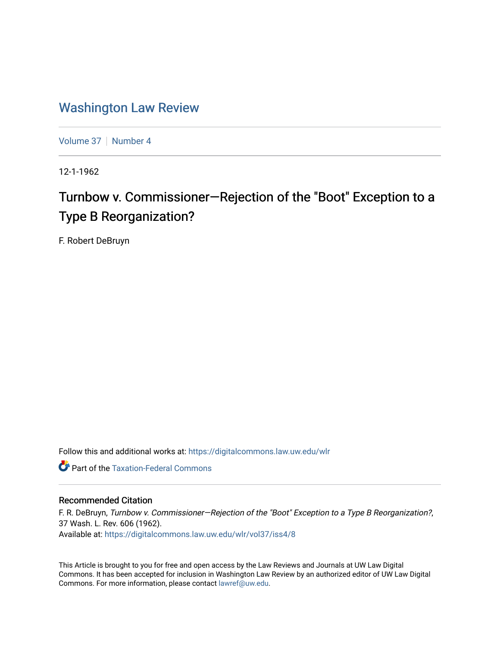## [Washington Law Review](https://digitalcommons.law.uw.edu/wlr)

[Volume 37](https://digitalcommons.law.uw.edu/wlr/vol37) | [Number 4](https://digitalcommons.law.uw.edu/wlr/vol37/iss4)

12-1-1962

# Turnbow v. Commissioner—Rejection of the "Boot" Exception to a Type B Reorganization?

F. Robert DeBruyn

Follow this and additional works at: [https://digitalcommons.law.uw.edu/wlr](https://digitalcommons.law.uw.edu/wlr?utm_source=digitalcommons.law.uw.edu%2Fwlr%2Fvol37%2Fiss4%2F8&utm_medium=PDF&utm_campaign=PDFCoverPages)

**Part of the [Taxation-Federal Commons](http://network.bepress.com/hgg/discipline/881?utm_source=digitalcommons.law.uw.edu%2Fwlr%2Fvol37%2Fiss4%2F8&utm_medium=PDF&utm_campaign=PDFCoverPages)** 

### Recommended Citation

F. R. DeBruyn, Turnbow v. Commissioner—Rejection of the "Boot" Exception to a Type B Reorganization?, 37 Wash. L. Rev. 606 (1962). Available at: [https://digitalcommons.law.uw.edu/wlr/vol37/iss4/8](https://digitalcommons.law.uw.edu/wlr/vol37/iss4/8?utm_source=digitalcommons.law.uw.edu%2Fwlr%2Fvol37%2Fiss4%2F8&utm_medium=PDF&utm_campaign=PDFCoverPages)

This Article is brought to you for free and open access by the Law Reviews and Journals at UW Law Digital Commons. It has been accepted for inclusion in Washington Law Review by an authorized editor of UW Law Digital Commons. For more information, please contact [lawref@uw.edu](mailto:lawref@uw.edu).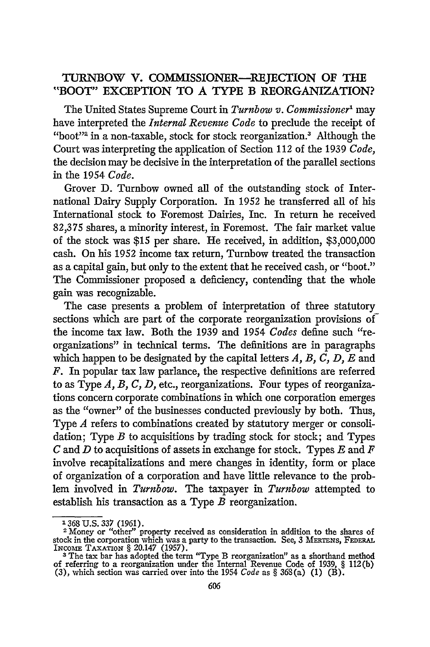## TURNBOW **V.** COMMISSIONER-REJECTION **OF** THE "BOOT" **EXCEPTION** TO **A TYPE B** REORGANIZATION?

The United States Supreme Court in *Turnbow v. Commissioner'* may have interpreted the *Internal Revenue Code* to preclude the receipt of "boot"<sup>2</sup> in a non-taxable, stock for stock reorganization.<sup>3</sup> Although the Court was interpreting the application of Section 112 of the 1939 *Code,* the decision may be decisive in the interpretation of the parallel sections in the 1954 *Code.*

Grover **D.** Turnbow owned all of the outstanding stock of International Dairy Supply Corporation. In 1952 he transferred all of his International stock to Foremost Dairies, Inc. In return he received **82,375** shares, a minority interest, in Foremost. The fair market value of the stock was \$15 per share. He received, in addition, **\$3,000,000** cash. On his 1952 income tax return, Turnbow treated the transaction as a capital gain, but only to the extent that he received cash, or "boot." The Commissioner proposed a deficiency, contending that the whole gain was recognizable.

The case presents a problem of interpretation of three statutory sections which are part of the corporate reorganization provisions of the income tax law. Both the 1939 and 1954 *Codes* define such "reorganizations" in technical terms. The definitions are in paragraphs which happen to be designated **by** the capital letters *A, B, C, D, E* and *F.* In popular tax law parlance, the respective definitions are referred to as Type *A, B, C, D,* etc., reorganizations. Four types of reorganizations concern corporate combinations in which one corporation emerges as the "owner" of the businesses conducted previously **by** both. Thus, Type *A* refers to combinations created **by** statutory merger or consolidation; Type *B* to acquisitions **by** trading stock for stock; and Types *C* and *D* to acquisitions of assets in exchange for stock. Types *E* and *F* involve recapitalizations and mere changes in identity, form or place of organization of a corporation and have little relevance to the problem involved in *Turnbow.* The taxpayer in *Turnbow* attempted to establish his transaction as a Type *B* reorganization.

**<sup>1368</sup> U.S. 337 (1961).**<br><sup>2</sup> Money or "other" property received as consideration in addition to the shares of stock in the corporation which was a party to the transaction. See, 3 MERTENS, FEDERAI<br>INCOME TAXATION § 20.147 (1957).<br><sup>3</sup> The tax bar has adopted the term "Type B reorganization" as a shorthand method

of referring to a reorganization under the Internal Revenue Code of 1939, **§** 112(b) (3), which section was carried over into the 1954 *Code* as **§** 368(a) (1) (B).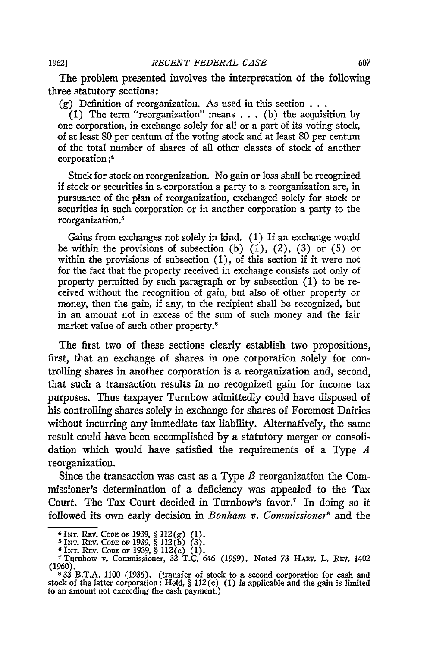The problem presented involves the interpretation of the following three statutory sections:

(g) Definition of reorganization. As used in this section **. . .**

(1) The term "reorganization" means  $\dots$  (b) the acquisition by one corporation, in exchange solely for all or a part of its voting stock, of at least 80 per centum of the voting stock and at least 80 per centum of the total number of shares of all other classes of stock of another corporation;'

Stock for stock on reorganization. No gain or loss shall be recognized if stock or securities in a corporation a party to a reorganization are, in pursuance of the plan of reorganization, exchanged solely for stock or securities in such corporation or in another corporation a party to the reorganization.<sup>5</sup>

Gains from exchanges not solely in kind. **(1) If** an exchange would be within the provisions of subsection (b) (1), (2), (3) or **(5)** or within the provisions of subsection (1), of this section if it were not for the fact that the property received in exchange consists not only of property permitted **by** such paragraph or **by** subsection **(1)** to be received without the recognition of gain, but also of other property or money, then the gain, if any, to the recipient shall be recognized, but in an amount not in excess of the sum of such money and the fair market value of such other property.6

The first two of these sections clearly establish two propositions, first, that an exchange of shares in one corporation solely for controlling shares in another corporation is a reorganization and, second, that such a transaction results in no recognized gain for income tax purposes. Thus taxpayer Turnbow admittedly could have disposed of his controlling shares solely in exchange for shares of Foremost Dairies without incurring any immediate tax liability. Alternatively, the same result could have been accomplished by a statutory merger or consolidation which would have satisfied the requirements of a Type *A* reorganization.

Since the transaction was cast as a Type *B* reorganization the Commissioner's determination of a deficiency was appealed to the Tax Court. The Tax Court decided in Turnbow's favor.<sup>7</sup> In doing so it followed its own early decision in *Bonkam v. Commissioner8* and the

**<sup>\*</sup>INT. REV. CODE OF 1939, § 112(g) (1).**<br>
<sup>5</sup>INT. REV. CODE OF 1939, § 112(b) (3).<br>
<sup>6</sup>INT. REV. CODE OF 1939, § 112(c) (1).<br>
<sup>7</sup>Turnbow v. Commissioner, 32 T.C. 646 (1959). Noted 73 HARV. L. REV. 1402 (1960).

<sup>&</sup>lt;sup>5</sup> <sup>8</sup>33 B.T.A. 1100 (1936). (transfer of stock to a second corporation for cash and stock of the latter corporation: Held, § 112(c) (1) is applicable and the gain is limited to an amount not exceeding the cash payment.)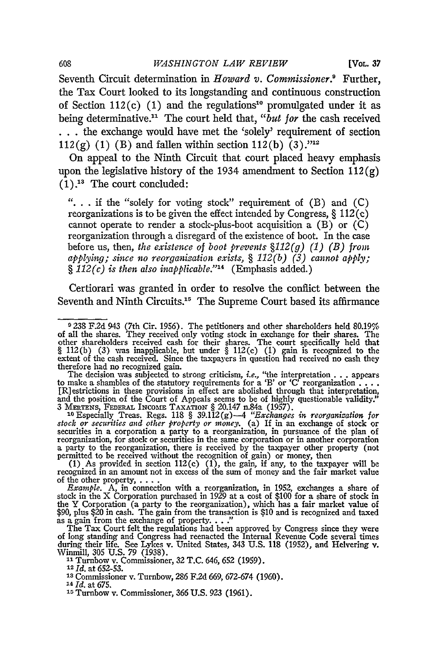**[VOL.** *37*

Seventh Circuit determination in *Howard v. Commissioner.'* Further, the Tax Court looked to its longstanding and continuous construction of Section 112(c) (1) and the regulations<sup>10</sup> promulgated under it as being determinative." The court held that, *"but for* the cash received **.. .**the exchange would have met the 'solely' requirement of section 112(g) (1) (B) and fallen within section 112(b) (3).<sup> $n_{12}$ </sup>

On appeal to the Ninth Circuit that court placed heavy emphasis upon the legislative history of the 1934 amendment to Section  $112(g)$  $(1).$ <sup>13</sup> The court concluded:

**"..** . if the "solely for voting stock" requirement of (B) and (C) reorganizations is to be given the effect intended by Congress,  $\S 112(c)$ cannot operate to render a stock-plus-boot acquisition a  $(B)$  or  $(C)$ reorganization through a disregard of the existence of boot. In the case before us, then, *the existence of boot prevents §112(g) (1) (B) from applying; since no reorganization exists, § 112(b) (3) cannot apply; § 112(c) is then also inapplicable.' <sup>4</sup>*(Emphasis added.)

Certiorari was granted in order to resolve the conflict between the Seventh and Ninth Circuits.<sup>15</sup> The Supreme Court based its affirmance

The decision was subjected to strong criticism, *i.e.*, "the interpretation . . . appears to make a shambles of the statutory requirements for a 'B' or 'C' reorganization . . . . [R] estrictions in these provisions in eff and the position of the Court of Appeals seems to be of highly questionable validity.'<br>3 MERTENS, FEDERAL INCOME TAXATION § 20.147 n.84a (1957).

<sup>10</sup> Especially Treas. Regs. 118 § 39.112(g) -4 "Exchanges in reorganization for securities and other property or money. (a) If in an exchange of stock of securities in a corporation a party to a reorganization, in pursua reorganization, for stock or securities in the same corporation or in another corporation a party to the reorganization, there is received **by** the taxpayer other property (not permitted to be received without the recognition of gain) or money, then (1) As provided in section 112(c) (1), the gain, if any, to the taxpayer will be

recognized in an amount not in excess of the sum of money and the fair market value of the other property, **....** *Example.* A, in connection with a reorganization, in 1952, exchanges a share of

stock in the X Corporation purchased in 1929 at a cost of \$100 for a share of stock in the Y Corporation (a party to the reorganization), which has a fair market value of \$90, plus \$20 in cash. The gain from the transaction is \$10 and is recognized and taxed as a gain from the exchange of property. . . ."<br>as

during their life. See Lykes v. United States, 343 **U.S.** 118 (1952), and I-elvering v. Winmill, 305 **U.S.** 79 **(1938).**

**11 Turnbow v. Commissioner, 32 T.C. 646, 652 (1959).**<br><sup>12</sup> *Id.* at 652-53.<br><sup>13</sup> Commissioner v. Turnbow, 286 F.2d 669, 672-674 (1960)

<sup>13</sup> Commissioner v. Turnbow, 286 F.2d 669, 672-674 (1960).<br><sup>14</sup> *Id.* at 675.

**<sup>15</sup>**Turnbow v. Commissioner, **366 U.S. 923 (1961).**

608

**<sup>9 238</sup>** F.2d 943 (7th Cir. 1956). The petitioners and other shareholders held 80.19% of all the shares. They received only voting stock in exchange for their shares. The other shareholders received cash for their shares. The court specifically held that  $\S 112(b)$  (3) was inapplicable, but under  $\S 112(c)$  extent of the cash received. Since the taxpayers in question had received no cash they therefore had no recognized gain.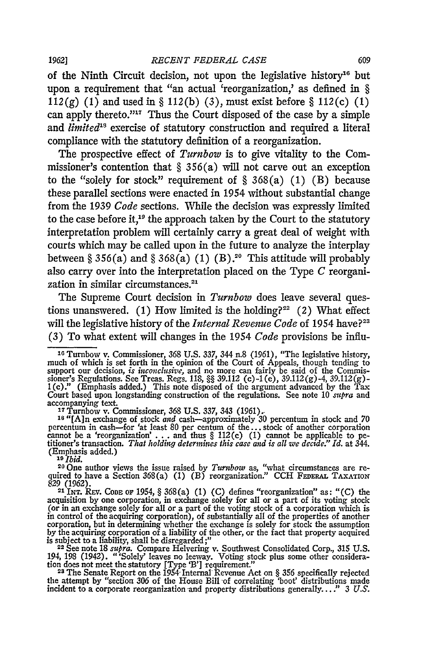#### **1962]** *RECENT FEDERAL CASE* 609

of the Ninth Circuit decision, not upon the legislative history'6 but upon a requirement that "an actual 'reorganization,' as defined in § 112(g) (1) and used in  $\S 112(b)$  (3), must exist before  $\S 112(c)$  (1) can apply thereto."<sup>17</sup> Thus the Court disposed of the case by a simple and *limited*<sup>18</sup> exercise of statutory construction and required a literal compliance with the statutory definition of a reorganization.

The prospective effect of *Turnbow* is to give vitality to the Commissioner's contention that  $\S 356(a)$  will not carve out an exception to the "solely for stock" requirement of  $\S 368(a) (1) (B)$  because these parallel sections were enacted in 1954 without substantial change from the 1939 *Code* sections. While the decision was expressly limited to the case before it,<sup>10</sup> the approach taken by the Court to the statutory interpretation problem will certainly carry a great deal of weight with courts which may be called upon in the future to analyze the interplay between § 356(a) and § 368(a) (1) (B).<sup>20</sup> This attitude will probably also carry over into the interpretation placed on the Type *C* reorganization in similar circumstances.<sup>21</sup>

The Supreme Court decision in *Turnbow* does leave several questions unanswered. (1) How limited is the holding?<sup>22</sup> (2) What effect will the legislative history of the *Internal Revenue Code* of 1954 have?<sup>23</sup> (3) To what extent will changes in the 1954 *Code* provisions be influ-

**<sup>18</sup>**"[A]n exchange of stock *and* cash-approximately 30 percentum in stock and 70 percentum in cash—for 'at least 80 per centum of the... stock of another corporation<br>cannot be a 'reorganization'... and thus § 112(c) (1) cannot be applicable to pe-<br>titioner's transaction. That holding determines this ca (Emphasis added.)

<sup>11</sup> <sup>Ib</sup>id.<br><sup>20</sup>One author views the issue raised by *Turnbow* as, "what circumstances are re-<br>quired to have a Section 368(a) (1) (B) reorganization." CCH FEDERAL TAXATION 829 (1962). **<sup>21</sup>**INT. **REv. CODE OF** 1954, § 368(a) (1) (C) defines "reorganization" as: "(C) the

acquisition by one corporation, in exchange solely for all or a part of its voting stock (or in an exchange solely for all or a part of the voting stock of a corporation which is in control of the acquiring corporation), of substantially all of the properties of another corporation, but in determining whether the exchange is solely for stock the assumption by the acquiring corporation of a liabili

194, 198 (1942). "Solely' leaves no leeway. Voting stock plus some other consideration does not meet the statutory [Type 'B'] requirement."<br><sup>23</sup> The Senate Report on the 1954 Internal Revenue Act on 8.356 specifically reje

the attempt by "section **306** of the House Bill **-of** correlating 'boot' distributions made incident to a corporate reorganization and property distributions generally...." 3 U.S.

**<sup>16</sup>**Turnbow v. Commissioner, 368 U.S. 337, 344 n.8 (1961), "The legislative history, much of which is set forth in the opinion of the Court of Appeals, though tending to<br>support our decision, *is inconclusive*, and no more can fairly be said of the Commissioner's Regulations. See Treas. Regs. 118, **§§** 39.112 **(c)-1** (e), 39.112(g)-4, 39.112(g)- **1(c)."** (Emphasis added.) This note disposed of the argument advanced by the Tax Court based upon longstanding construction of the regulations. See note 10 *supra* and accompanying text. **<sup>17</sup>**Turnbow v. Commissioner, **368** U.S. 337, 343 (1961).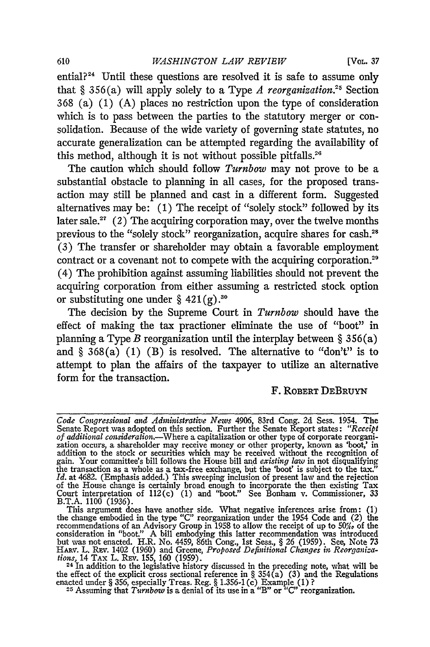#### **<sup>610</sup>***WASHINGTON LAW REVIEW* [VoL. **37**

ential?24 Until these questions are resolved it is safe to assume only that  $§ 356(a)$  will apply solely to a Type *A reorganization*.<sup>25</sup> Section 368 (a) (1) (A) places no restriction upon the type of consideration which is to pass between the parties to the statutory merger or consolidation. Because of the wide variety of governing state statutes, no accurate generalization can be attempted regarding the availability of this method, although it is not without possible pitfalls.<sup>26</sup>

The caution which should follow *Turnbow* may not prove to be a substantial obstacle to planning in all cases, for the proposed transaction may still be planned and cast in a different form. Suggested alternatives may be: (1) The receipt of "solely stock" followed by its later sale.<sup>27</sup> (2) The acquiring corporation may, over the twelve months previous to the "solely stock" reorganization, acquire shares for cash.<sup>28</sup> (3) The transfer or shareholder may obtain a favorable employment contract or a covenant not to compete with the acquiring corporation.<sup>29</sup> (4) The prohibition against assuming liabilities should not prevent the acquiring corporation from either assuming a restricted stock option or substituting one under  $\S 421(g).^{30}$ 

The decision by the Supreme Court in *Turnbow* should have the effect of making the tax practioner eliminate the use of "boot" in planning a Type *B* reorganization until the interplay between § 356(a) and  $\S$  368(a) (1) (B) is resolved. The alternative to "don't" is to attempt to plan the affairs of the taxpayer to utilize an alternative form for the transaction.

#### F. ROBERT DEBRUYN

*Code Congressional and Administrative News* 4906, 83rd Cong. 2d Sess. 1954. The Senate Report was adopted on this section. Further the Senate Report states: "Receiptof additional consideration.—Where a capitalization or other type of corporate reorganization occurs, a shareholder may receive money or addition to the stock or securities which may be received without the recognition of gain. Your committee's bill follows the House bill and *existing law* in not disqualifying the transaction as a whole as a tax-free exchange, but the 'boot' is subject to the tax." *Id.* at 4682. (Emphasis added.) This sweeping inclusion of present law and the rejection of the House change is certainly broad enough to incorporate the then existing Tax Court interpretation of 112(c) (1) and "boot." See Bonham v. Commissioner, 33 B.T.A. 1100 (1936). This argument does have another side. What negative inferences arise from: (1)

the change embodied in the type *"C"* reorganization under the 1954 Code and (2) the recommendations of an Advisory Group in 1958 to allow the receipt of up to **50%,** of the consideration in "boot." A bill embodying this latter recommendation was introduced<br>but was not enacted. H.R. No. 4459, 86th Cong., 1st Sess., § 26 (1959). See, Note 73<br>HARV. L. REV. 1402 (1960) and Greene, *Proposed Defin tions,* 14 TAx L. Rev. 155, 160 (1959).<br><sup>24</sup> In addition to the legislative history discussed in the preceding note, what will be

the effect of the explicit cross sectional reference in § 354(a) (3) and the Regulation<br>enacted under § 356, especially Treas. Reg. § 1.356-1(c) Example (1)?<br><sup>25</sup> Assuming that Turnhow is a denial of its use in a "R" or "